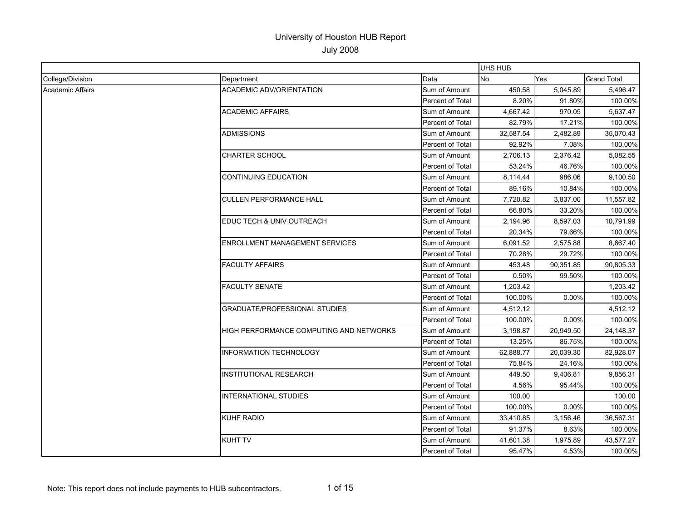|                         |                                                |                         | UHS HUB   |           |                    |
|-------------------------|------------------------------------------------|-------------------------|-----------|-----------|--------------------|
| College/Division        | Department                                     | Data                    | No        | Yes       | <b>Grand Total</b> |
| <b>Academic Affairs</b> | <b>ACADEMIC ADV/ORIENTATION</b>                | Sum of Amount           | 450.58    | 5,045.89  | 5,496.47           |
|                         |                                                | Percent of Total        | 8.20%     | 91.80%    | 100.00%            |
|                         | <b>ACADEMIC AFFAIRS</b>                        | Sum of Amount           | 4,667.42  | 970.05    | 5,637.47           |
|                         |                                                | Percent of Total        | 82.79%    | 17.21%    | 100.00%            |
|                         | <b>ADMISSIONS</b>                              | Sum of Amount           | 32,587.54 | 2,482.89  | 35.070.43          |
|                         |                                                | Percent of Total        | 92.92%    | 7.08%     | 100.00%            |
|                         | <b>CHARTER SCHOOL</b>                          | Sum of Amount           | 2,706.13  | 2,376.42  | 5.082.55           |
|                         |                                                | Percent of Total        | 53.24%    | 46.76%    | 100.00%            |
|                         | <b>CONTINUING EDUCATION</b>                    | Sum of Amount           | 8,114.44  | 986.06    | 9.100.50           |
|                         |                                                | Percent of Total        | 89.16%    | 10.84%    | 100.00%            |
|                         | <b>CULLEN PERFORMANCE HALL</b>                 | Sum of Amount           | 7,720.82  | 3,837.00  | 11,557.82          |
|                         |                                                | Percent of Total        | 66.80%    | 33.20%    | 100.00%            |
|                         | EDUC TECH & UNIV OUTREACH                      | Sum of Amount           | 2,194.96  | 8,597.03  | 10,791.99          |
|                         |                                                | Percent of Total        | 20.34%    | 79.66%    | 100.00%            |
|                         | ENROLLMENT MANAGEMENT SERVICES                 | Sum of Amount           | 6,091.52  | 2,575.88  | 8,667.40           |
|                         |                                                | Percent of Total        | 70.28%    | 29.72%    | 100.00%            |
|                         | <b>FACULTY AFFAIRS</b>                         | Sum of Amount           | 453.48    | 90,351.85 | 90,805.33          |
|                         |                                                | Percent of Total        | 0.50%     | 99.50%    | 100.00%            |
|                         | <b>FACULTY SENATE</b>                          | Sum of Amount           | 1,203.42  |           | 1,203.42           |
|                         |                                                | Percent of Total        | 100.00%   | 0.00%     | 100.00%            |
|                         | <b>GRADUATE/PROFESSIONAL STUDIES</b>           | Sum of Amount           | 4,512.12  |           | 4,512.12           |
|                         |                                                | Percent of Total        | 100.00%   | 0.00%     | 100.00%            |
|                         | <b>HIGH PERFORMANCE COMPUTING AND NETWORKS</b> | Sum of Amount           | 3,198.87  | 20,949.50 | 24,148.37          |
|                         |                                                | Percent of Total        | 13.25%    | 86.75%    | 100.00%            |
|                         | <b>INFORMATION TECHNOLOGY</b>                  | Sum of Amount           | 62,888.77 | 20,039.30 | 82,928.07          |
|                         |                                                | Percent of Total        | 75.84%    | 24.16%    | 100.00%            |
|                         | <b>INSTITUTIONAL RESEARCH</b>                  | Sum of Amount           | 449.50    | 9,406.81  | 9,856.31           |
|                         |                                                | Percent of Total        | 4.56%     | 95.44%    | 100.00%            |
|                         | <b>INTERNATIONAL STUDIES</b>                   | Sum of Amount           | 100.00    |           | 100.00             |
|                         |                                                | <b>Percent of Total</b> | 100.00%   | 0.00%     | 100.00%            |
|                         | <b>KUHF RADIO</b>                              | Sum of Amount           | 33,410.85 | 3,156.46  | 36,567.31          |
|                         |                                                | Percent of Total        | 91.37%    | 8.63%     | 100.00%            |
|                         | <b>KUHT TV</b>                                 | Sum of Amount           | 41,601.38 | 1,975.89  | 43,577.27          |
|                         |                                                | Percent of Total        | 95.47%    | 4.53%     | 100.00%            |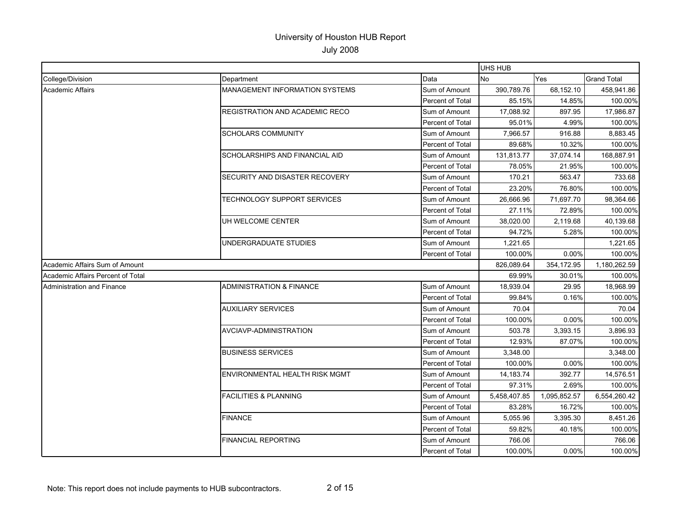|                                   |                                     |                         | UHS HUB      |              |                    |
|-----------------------------------|-------------------------------------|-------------------------|--------------|--------------|--------------------|
| College/Division                  | Department                          | Data                    | <b>No</b>    | Yes          | <b>Grand Total</b> |
| <b>Academic Affairs</b>           | MANAGEMENT INFORMATION SYSTEMS      | Sum of Amount           | 390,789.76   | 68,152.10    | 458,941.86         |
|                                   |                                     | Percent of Total        | 85.15%       | 14.85%       | 100.00%            |
|                                   | REGISTRATION AND ACADEMIC RECO      | Sum of Amount           | 17,088.92    | 897.95       | 17,986.87          |
|                                   |                                     | Percent of Total        | 95.01%       | 4.99%        | 100.00%            |
|                                   | <b>SCHOLARS COMMUNITY</b>           | Sum of Amount           | 7,966.57     | 916.88       | 8,883.45           |
|                                   |                                     | Percent of Total        | 89.68%       | 10.32%       | 100.00%            |
|                                   | SCHOLARSHIPS AND FINANCIAL AID      | Sum of Amount           | 131,813.77   | 37,074.14    | 168,887.91         |
|                                   |                                     | Percent of Total        | 78.05%       | 21.95%       | 100.00%            |
|                                   | SECURITY AND DISASTER RECOVERY      | Sum of Amount           | 170.21       | 563.47       | 733.68             |
|                                   |                                     | Percent of Total        | 23.20%       | 76.80%       | 100.00%            |
|                                   | <b>TECHNOLOGY SUPPORT SERVICES</b>  | Sum of Amount           | 26,666.96    | 71,697.70    | 98.364.66          |
|                                   |                                     | Percent of Total        | 27.11%       | 72.89%       | 100.00%            |
|                                   | UH WELCOME CENTER                   | Sum of Amount           | 38,020.00    | 2,119.68     | 40,139.68          |
|                                   |                                     | Percent of Total        | 94.72%       | 5.28%        | 100.00%            |
|                                   | UNDERGRADUATE STUDIES               | Sum of Amount           | 1,221.65     |              | 1,221.65           |
|                                   |                                     | Percent of Total        | 100.00%      | 0.00%        | 100.00%            |
| Academic Affairs Sum of Amount    |                                     |                         | 826,089.64   | 354,172.95   | 1,180,262.59       |
| Academic Affairs Percent of Total |                                     |                         | 69.99%       | 30.01%       | 100.00%            |
| Administration and Finance        | <b>ADMINISTRATION &amp; FINANCE</b> | Sum of Amount           | 18,939.04    | 29.95        | 18,968.99          |
|                                   |                                     | Percent of Total        | 99.84%       | 0.16%        | 100.00%            |
|                                   | <b>AUXILIARY SERVICES</b>           | Sum of Amount           | 70.04        |              | 70.04              |
|                                   |                                     | Percent of Total        | 100.00%      | 0.00%        | 100.00%            |
|                                   | AVCIAVP-ADMINISTRATION              | Sum of Amount           | 503.78       | 3,393.15     | 3,896.93           |
|                                   |                                     | <b>Percent of Total</b> | 12.93%       | 87.07%       | 100.00%            |
|                                   | <b>BUSINESS SERVICES</b>            | Sum of Amount           | 3,348.00     |              | 3,348.00           |
|                                   |                                     | Percent of Total        | 100.00%      | 0.00%        | 100.00%            |
|                                   | ENVIRONMENTAL HEALTH RISK MGMT      | Sum of Amount           | 14,183.74    | 392.77       | 14.576.51          |
|                                   |                                     | Percent of Total        | 97.31%       | 2.69%        | 100.00%            |
|                                   | <b>FACILITIES &amp; PLANNING</b>    | Sum of Amount           | 5,458,407.85 | 1,095,852.57 | 6,554,260.42       |
|                                   |                                     | <b>Percent of Total</b> | 83.28%       | 16.72%       | 100.00%            |
|                                   | <b>FINANCE</b>                      | Sum of Amount           | 5,055.96     | 3,395.30     | 8,451.26           |
|                                   |                                     | Percent of Total        | 59.82%       | 40.18%       | 100.00%            |
|                                   | <b>FINANCIAL REPORTING</b>          | Sum of Amount           | 766.06       |              | 766.06             |
|                                   |                                     | Percent of Total        | 100.00%      | 0.00%        | 100.00%            |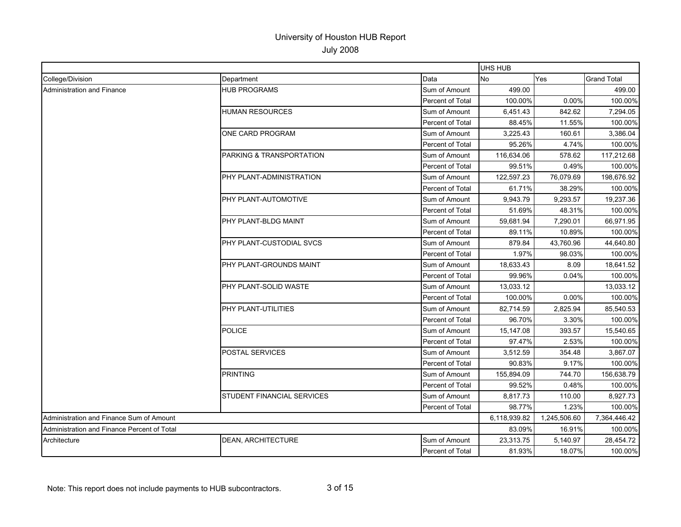|                                             |                            |                         | UHS HUB      |              |                    |
|---------------------------------------------|----------------------------|-------------------------|--------------|--------------|--------------------|
| College/Division                            | Department                 | Data                    | No           | Yes          | <b>Grand Total</b> |
| <b>Administration and Finance</b>           | <b>HUB PROGRAMS</b>        | Sum of Amount           | 499.00       |              | 499.00             |
|                                             |                            | Percent of Total        | 100.00%      | 0.00%        | 100.00%            |
|                                             | <b>HUMAN RESOURCES</b>     | Sum of Amount           | 6.451.43     | 842.62       | 7.294.05           |
|                                             |                            | Percent of Total        | 88.45%       | 11.55%       | 100.00%            |
|                                             | ONE CARD PROGRAM           | Sum of Amount           | 3,225.43     | 160.61       | 3,386.04           |
|                                             |                            | Percent of Total        | 95.26%       | 4.74%        | 100.00%            |
|                                             | PARKING & TRANSPORTATION   | Sum of Amount           | 116,634.06   | 578.62       | 117,212.68         |
|                                             |                            | Percent of Total        | 99.51%       | 0.49%        | 100.00%            |
|                                             | PHY PLANT-ADMINISTRATION   | Sum of Amount           | 122,597.23   | 76,079.69    | 198,676.92         |
|                                             |                            | <b>Percent of Total</b> | 61.71%       | 38.29%       | 100.00%            |
|                                             | PHY PLANT-AUTOMOTIVE       | Sum of Amount           | 9,943.79     | 9,293.57     | 19,237.36          |
|                                             |                            | Percent of Total        | 51.69%       | 48.31%       | 100.00%            |
|                                             | PHY PLANT-BLDG MAINT       | Sum of Amount           | 59,681.94    | 7,290.01     | 66,971.95          |
|                                             |                            | Percent of Total        | 89.11%       | 10.89%       | 100.00%            |
|                                             | PHY PLANT-CUSTODIAL SVCS   | Sum of Amount           | 879.84       | 43,760.96    | 44,640.80          |
|                                             |                            | Percent of Total        | 1.97%        | 98.03%       | 100.00%            |
|                                             | PHY PLANT-GROUNDS MAINT    | Sum of Amount           | 18,633.43    | 8.09         | 18,641.52          |
|                                             |                            | Percent of Total        | 99.96%       | 0.04%        | 100.00%            |
|                                             | PHY PLANT-SOLID WASTE      | Sum of Amount           | 13,033.12    |              | 13,033.12          |
|                                             |                            | Percent of Total        | 100.00%      | 0.00%        | 100.00%            |
|                                             | PHY PLANT-UTILITIES        | Sum of Amount           | 82,714.59    | 2,825.94     | 85,540.53          |
|                                             |                            | Percent of Total        | 96.70%       | 3.30%        | 100.00%            |
|                                             | <b>POLICE</b>              | Sum of Amount           | 15,147.08    | 393.57       | 15,540.65          |
|                                             |                            | Percent of Total        | 97.47%       | 2.53%        | 100.00%            |
|                                             | <b>POSTAL SERVICES</b>     | Sum of Amount           | 3,512.59     | 354.48       | 3,867.07           |
|                                             |                            | Percent of Total        | 90.83%       | 9.17%        | 100.00%            |
|                                             | <b>PRINTING</b>            | Sum of Amount           | 155,894.09   | 744.70       | 156,638.79         |
|                                             |                            | Percent of Total        | 99.52%       | 0.48%        | 100.00%            |
|                                             | STUDENT FINANCIAL SERVICES | Sum of Amount           | 8,817.73     | 110.00       | 8,927.73           |
|                                             |                            | Percent of Total        | 98.77%       | 1.23%        | 100.00%            |
| Administration and Finance Sum of Amount    |                            | 6,118,939.82            | 1,245,506.60 | 7,364,446.42 |                    |
| Administration and Finance Percent of Total |                            |                         | 83.09%       | 16.91%       | 100.00%            |
| Architecture                                | <b>DEAN, ARCHITECTURE</b>  | Sum of Amount           | 23,313.75    | 5,140.97     | 28,454.72          |
|                                             |                            | Percent of Total        | 81.93%       | 18.07%       | 100.00%            |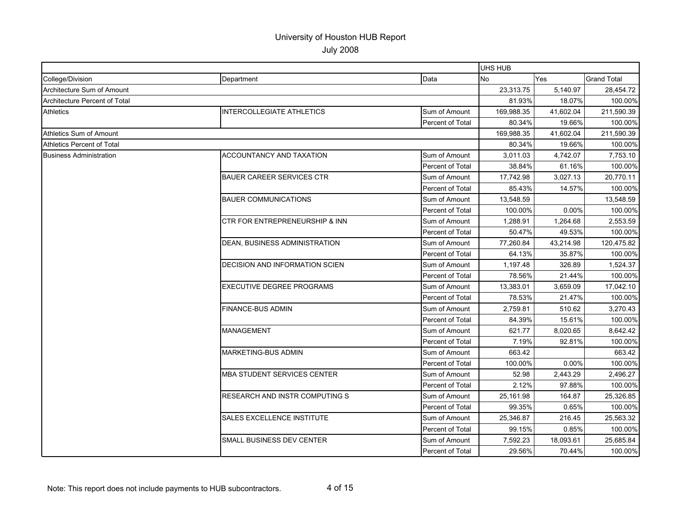|                                   |                                       |                         | UHS HUB    |            |                    |
|-----------------------------------|---------------------------------------|-------------------------|------------|------------|--------------------|
| College/Division                  | Department                            | Data                    | <b>No</b>  | <b>Yes</b> | <b>Grand Total</b> |
| Architecture Sum of Amount        |                                       |                         | 23,313.75  | 5,140.97   | 28,454.72          |
| Architecture Percent of Total     |                                       |                         | 81.93%     | 18.07%     | 100.00%            |
| <b>Athletics</b>                  | <b>INTERCOLLEGIATE ATHLETICS</b>      | Sum of Amount           | 169,988.35 | 41,602.04  | 211,590.39         |
|                                   |                                       | Percent of Total        | 80.34%     | 19.66%     | 100.00%            |
| <b>Athletics Sum of Amount</b>    |                                       |                         | 169,988.35 | 41,602.04  | 211,590.39         |
| <b>Athletics Percent of Total</b> |                                       | 80.34%                  | 19.66%     | 100.00%    |                    |
| <b>Business Administration</b>    | <b>ACCOUNTANCY AND TAXATION</b>       | Sum of Amount           | 3,011.03   | 4,742.07   | 7,753.10           |
|                                   |                                       | <b>Percent of Total</b> | 38.84%     | 61.16%     | 100.00%            |
|                                   | <b>BAUER CAREER SERVICES CTR</b>      | Sum of Amount           | 17,742.98  | 3,027.13   | 20.770.11          |
|                                   |                                       | Percent of Total        | 85.43%     | 14.57%     | 100.00%            |
|                                   | <b>BAUER COMMUNICATIONS</b>           | Sum of Amount           | 13,548.59  |            | 13,548.59          |
|                                   |                                       | Percent of Total        | 100.00%    | 0.00%      | 100.00%            |
|                                   | CTR FOR ENTREPRENEURSHIP & INN        | Sum of Amount           | 1,288.91   | 1,264.68   | 2,553.59           |
|                                   |                                       | Percent of Total        | 50.47%     | 49.53%     | 100.00%            |
|                                   | DEAN, BUSINESS ADMINISTRATION         | Sum of Amount           | 77,260.84  | 43,214.98  | 120,475.82         |
|                                   |                                       | Percent of Total        | 64.13%     | 35.87%     | 100.00%            |
|                                   | DECISION AND INFORMATION SCIEN        | Sum of Amount           | 1,197.48   | 326.89     | 1,524.37           |
|                                   |                                       | <b>Percent of Total</b> | 78.56%     | 21.44%     | 100.00%            |
|                                   | <b>EXECUTIVE DEGREE PROGRAMS</b>      | Sum of Amount           | 13,383.01  | 3,659.09   | 17,042.10          |
|                                   |                                       | Percent of Total        | 78.53%     | 21.47%     | 100.00%            |
|                                   | FINANCE-BUS ADMIN                     | Sum of Amount           | 2,759.81   | 510.62     | 3,270.43           |
|                                   |                                       | Percent of Total        | 84.39%     | 15.61%     | 100.00%            |
|                                   | <b>MANAGEMENT</b>                     | Sum of Amount           | 621.77     | 8,020.65   | 8,642.42           |
|                                   |                                       | Percent of Total        | 7.19%      | 92.81%     | 100.00%            |
|                                   | MARKETING-BUS ADMIN                   | Sum of Amount           | 663.42     |            | 663.42             |
|                                   |                                       | Percent of Total        | 100.00%    | 0.00%      | 100.00%            |
|                                   | <b>MBA STUDENT SERVICES CENTER</b>    | Sum of Amount           | 52.98      | 2,443.29   | 2,496.27           |
|                                   |                                       | <b>Percent of Total</b> | 2.12%      | 97.88%     | 100.00%            |
|                                   | <b>RESEARCH AND INSTR COMPUTING S</b> | Sum of Amount           | 25,161.98  | 164.87     | 25,326.85          |
|                                   |                                       | Percent of Total        | 99.35%     | 0.65%      | 100.00%            |
|                                   | SALES EXCELLENCE INSTITUTE            | Sum of Amount           | 25,346.87  | 216.45     | 25,563.32          |
|                                   |                                       | Percent of Total        | 99.15%     | 0.85%      | 100.00%            |
|                                   | SMALL BUSINESS DEV CENTER             | Sum of Amount           | 7,592.23   | 18,093.61  | 25,685.84          |
|                                   |                                       | Percent of Total        | 29.56%     | 70.44%     | 100.00%            |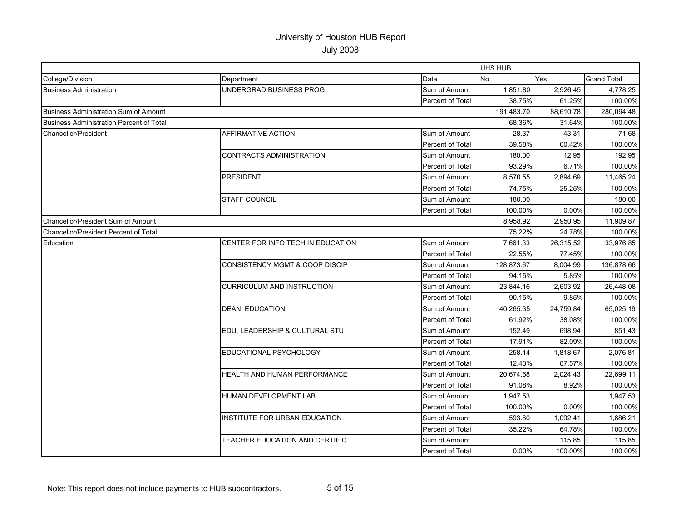|                                                 |                                       |                         | UHS HUB    |           |                    |
|-------------------------------------------------|---------------------------------------|-------------------------|------------|-----------|--------------------|
| College/Division                                | Department                            | Data                    | No         | Yes       | <b>Grand Total</b> |
| <b>Business Administration</b>                  | UNDERGRAD BUSINESS PROG               | Sum of Amount           | 1,851.80   | 2,926.45  | 4,778.25           |
|                                                 |                                       | Percent of Total        | 38.75%     | 61.25%    | 100.00%            |
| <b>Business Administration Sum of Amount</b>    |                                       |                         | 191,483.70 | 88,610.78 | 280,094.48         |
| <b>Business Administration Percent of Total</b> |                                       |                         | 68.36%     | 31.64%    | 100.00%            |
| Chancellor/President                            | AFFIRMATIVE ACTION                    | Sum of Amount           | 28.37      | 43.31     | 71.68              |
|                                                 |                                       | Percent of Total        | 39.58%     | 60.42%    | 100.00%            |
|                                                 | <b>CONTRACTS ADMINISTRATION</b>       | Sum of Amount           | 180.00     | 12.95     | 192.95             |
|                                                 |                                       | Percent of Total        | 93.29%     | 6.71%     | 100.00%            |
|                                                 | <b>PRESIDENT</b>                      | Sum of Amount           | 8,570.55   | 2,894.69  | 11,465.24          |
|                                                 |                                       | Percent of Total        | 74.75%     | 25.25%    | 100.00%            |
|                                                 | <b>STAFF COUNCIL</b>                  | Sum of Amount           | 180.00     |           | 180.00             |
|                                                 |                                       | Percent of Total        | 100.00%    | 0.00%     | 100.00%            |
| Chancellor/President Sum of Amount              |                                       |                         | 8,958.92   | 2,950.95  | 11,909.87          |
| Chancellor/President Percent of Total           |                                       |                         | 75.22%     | 24.78%    | 100.00%            |
| Education                                       | CENTER FOR INFO TECH IN EDUCATION     | Sum of Amount           | 7,661.33   | 26,315.52 | 33,976.85          |
|                                                 |                                       | Percent of Total        | 22.55%     | 77.45%    | 100.00%            |
|                                                 | CONSISTENCY MGMT & COOP DISCIP        | Sum of Amount           | 128,873.67 | 8,004.99  | 136,878.66         |
|                                                 |                                       | Percent of Total        | 94.15%     | 5.85%     | 100.00%            |
|                                                 | CURRICULUM AND INSTRUCTION            | Sum of Amount           | 23,844.16  | 2,603.92  | 26,448.08          |
|                                                 |                                       | Percent of Total        | 90.15%     | 9.85%     | 100.00%            |
|                                                 | <b>DEAN, EDUCATION</b>                | Sum of Amount           | 40,265.35  | 24,759.84 | 65.025.19          |
|                                                 |                                       | <b>Percent of Total</b> | 61.92%     | 38.08%    | 100.00%            |
|                                                 | EDU. LEADERSHIP & CULTURAL STU        | Sum of Amount           | 152.49     | 698.94    | 851.43             |
|                                                 |                                       | Percent of Total        | 17.91%     | 82.09%    | 100.00%            |
|                                                 | EDUCATIONAL PSYCHOLOGY                | Sum of Amount           | 258.14     | 1.818.67  | 2.076.81           |
|                                                 |                                       | Percent of Total        | 12.43%     | 87.57%    | 100.00%            |
|                                                 | HEALTH AND HUMAN PERFORMANCE          | Sum of Amount           | 20,674.68  | 2,024.43  | 22,699.11          |
|                                                 |                                       | Percent of Total        | 91.08%     | 8.92%     | 100.00%            |
|                                                 | HUMAN DEVELOPMENT LAB                 | Sum of Amount           | 1,947.53   |           | 1,947.53           |
|                                                 |                                       | Percent of Total        | 100.00%    | 0.00%     | 100.00%            |
|                                                 | INSTITUTE FOR URBAN EDUCATION         | Sum of Amount           | 593.80     | 1,092.41  | 1,686.21           |
|                                                 |                                       | Percent of Total        | 35.22%     | 64.78%    | 100.00%            |
|                                                 | <b>TEACHER EDUCATION AND CERTIFIC</b> | Sum of Amount           |            | 115.85    | 115.85             |
|                                                 |                                       | Percent of Total        | 0.00%      | 100.00%   | 100.00%            |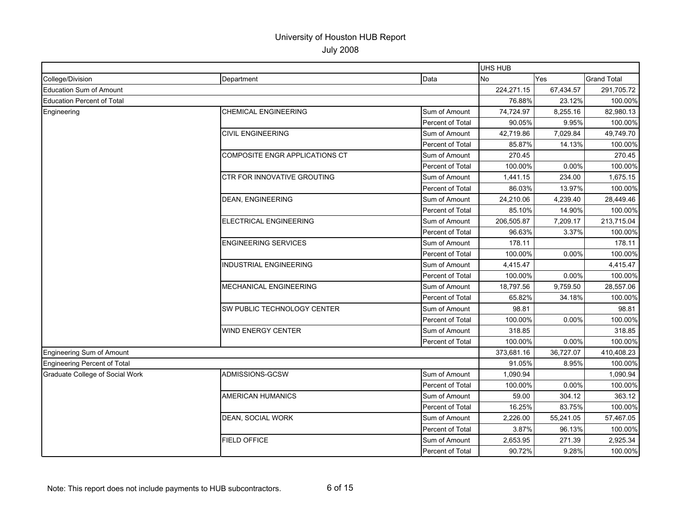|                                     |                                    |                  | UHS HUB    |            |                    |
|-------------------------------------|------------------------------------|------------------|------------|------------|--------------------|
| College/Division                    | Department                         | Data             | <b>No</b>  | <b>Yes</b> | <b>Grand Total</b> |
| <b>Education Sum of Amount</b>      |                                    |                  | 224,271.15 | 67,434.57  | 291,705.72         |
| <b>Education Percent of Total</b>   |                                    |                  | 76.88%     | 23.12%     | 100.00%            |
| Engineering                         | <b>CHEMICAL ENGINEERING</b>        | Sum of Amount    | 74,724.97  | 8,255.16   | 82,980.13          |
|                                     |                                    | Percent of Total | 90.05%     | 9.95%      | 100.00%            |
|                                     | <b>CIVIL ENGINEERING</b>           | Sum of Amount    | 42,719.86  | 7,029.84   | 49,749.70          |
|                                     |                                    | Percent of Total | 85.87%     | 14.13%     | 100.00%            |
|                                     | COMPOSITE ENGR APPLICATIONS CT     | Sum of Amount    | 270.45     |            | 270.45             |
|                                     |                                    | Percent of Total | 100.00%    | 0.00%      | 100.00%            |
|                                     | <b>CTR FOR INNOVATIVE GROUTING</b> | Sum of Amount    | 1,441.15   | 234.00     | 1,675.15           |
|                                     |                                    | Percent of Total | 86.03%     | 13.97%     | 100.00%            |
|                                     | <b>DEAN, ENGINEERING</b>           | Sum of Amount    | 24,210.06  | 4,239.40   | 28,449.46          |
|                                     |                                    | Percent of Total | 85.10%     | 14.90%     | 100.00%            |
|                                     | <b>ELECTRICAL ENGINEERING</b>      | Sum of Amount    | 206,505.87 | 7,209.17   | 213,715.04         |
|                                     |                                    | Percent of Total | 96.63%     | 3.37%      | 100.00%            |
|                                     | <b>ENGINEERING SERVICES</b>        | Sum of Amount    | 178.11     |            | 178.11             |
|                                     |                                    | Percent of Total | 100.00%    | 0.00%      | 100.00%            |
|                                     | <b>INDUSTRIAL ENGINEERING</b>      | Sum of Amount    | 4,415.47   |            | 4,415.47           |
|                                     |                                    | Percent of Total | 100.00%    | 0.00%      | 100.00%            |
|                                     | MECHANICAL ENGINEERING             | Sum of Amount    | 18,797.56  | 9,759.50   | 28,557.06          |
|                                     |                                    | Percent of Total | 65.82%     | 34.18%     | 100.00%            |
|                                     | SW PUBLIC TECHNOLOGY CENTER        | Sum of Amount    | 98.81      |            | 98.81              |
|                                     |                                    | Percent of Total | 100.00%    | $0.00\%$   | 100.00%            |
|                                     | WIND ENERGY CENTER                 | Sum of Amount    | 318.85     |            | 318.85             |
|                                     |                                    | Percent of Total | 100.00%    | 0.00%      | 100.00%            |
| <b>Engineering Sum of Amount</b>    |                                    |                  | 373,681.16 | 36,727.07  | 410,408.23         |
| <b>Engineering Percent of Total</b> |                                    |                  | 91.05%     | 8.95%      | 100.00%            |
| Graduate College of Social Work     | ADMISSIONS-GCSW                    | Sum of Amount    | 1,090.94   |            | 1,090.94           |
|                                     |                                    | Percent of Total | 100.00%    | 0.00%      | 100.00%            |
|                                     | <b>AMERICAN HUMANICS</b>           | Sum of Amount    | 59.00      | 304.12     | 363.12             |
|                                     |                                    | Percent of Total | 16.25%     | 83.75%     | 100.00%            |
|                                     | DEAN, SOCIAL WORK                  | Sum of Amount    | 2,226.00   | 55,241.05  | 57,467.05          |
|                                     |                                    | Percent of Total | 3.87%      | 96.13%     | 100.00%            |
|                                     | <b>FIELD OFFICE</b>                | Sum of Amount    | 2,653.95   | 271.39     | 2,925.34           |
|                                     |                                    | Percent of Total | 90.72%     | 9.28%      | 100.00%            |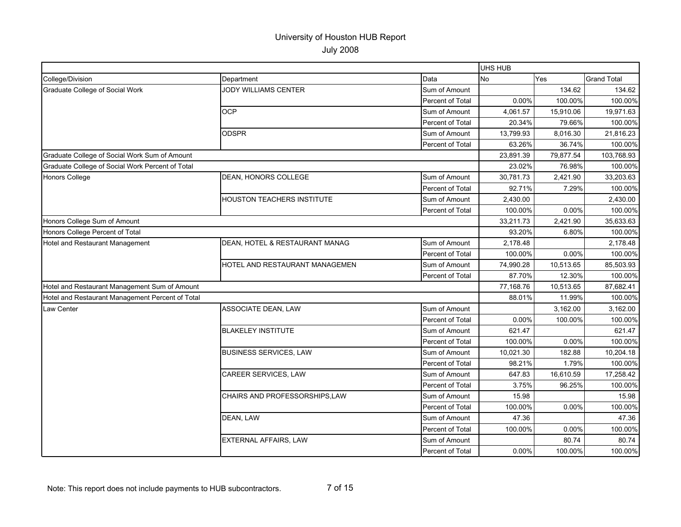|                                                  |                                   |                  | <b>UHS HUB</b> |           |                    |
|--------------------------------------------------|-----------------------------------|------------------|----------------|-----------|--------------------|
| College/Division                                 | Department                        | Data             | No             | Yes       | <b>Grand Total</b> |
| Graduate College of Social Work                  | <b>JODY WILLIAMS CENTER</b>       | Sum of Amount    |                | 134.62    | 134.62             |
|                                                  |                                   | Percent of Total | 0.00%          | 100.00%   | 100.00%            |
|                                                  | <b>OCP</b>                        | Sum of Amount    | 4,061.57       | 15,910.06 | 19,971.63          |
|                                                  |                                   | Percent of Total | 20.34%         | 79.66%    | 100.00%            |
|                                                  | <b>ODSPR</b>                      | Sum of Amount    | 13,799.93      | 8,016.30  | 21,816.23          |
|                                                  |                                   | Percent of Total | 63.26%         | 36.74%    | 100.00%            |
| Graduate College of Social Work Sum of Amount    |                                   |                  | 23,891.39      | 79,877.54 | 103,768.93         |
| Graduate College of Social Work Percent of Total |                                   |                  | 23.02%         | 76.98%    | 100.00%            |
| <b>Honors College</b>                            | DEAN, HONORS COLLEGE              | Sum of Amount    | 30,781.73      | 2,421.90  | 33,203.63          |
|                                                  |                                   | Percent of Total | 92.71%         | 7.29%     | 100.00%            |
|                                                  | <b>HOUSTON TEACHERS INSTITUTE</b> | Sum of Amount    | 2,430.00       |           | 2,430.00           |
|                                                  |                                   | Percent of Total | 100.00%        | 0.00%     | 100.00%            |
| Honors College Sum of Amount                     |                                   |                  | 33,211.73      | 2,421.90  | 35,633.63          |
| Honors College Percent of Total                  |                                   |                  | 93.20%         | 6.80%     | 100.00%            |
| Hotel and Restaurant Management                  | DEAN, HOTEL & RESTAURANT MANAG    | Sum of Amount    | 2,178.48       |           | 2,178.48           |
|                                                  |                                   | Percent of Total | 100.00%        | 0.00%     | 100.00%            |
|                                                  | HOTEL AND RESTAURANT MANAGEMEN    | Sum of Amount    | 74,990.28      | 10,513.65 | 85,503.93          |
|                                                  |                                   | Percent of Total | 87.70%         | 12.30%    | 100.00%            |
| Hotel and Restaurant Management Sum of Amount    |                                   |                  | 77,168.76      | 10,513.65 | 87,682.41          |
| Hotel and Restaurant Management Percent of Total |                                   |                  | 88.01%         | 11.99%    | 100.00%            |
| Law Center                                       | ASSOCIATE DEAN, LAW               | Sum of Amount    |                | 3.162.00  | 3.162.00           |
|                                                  |                                   | Percent of Total | 0.00%          | 100.00%   | 100.00%            |
|                                                  | <b>BLAKELEY INSTITUTE</b>         | Sum of Amount    | 621.47         |           | 621.47             |
|                                                  |                                   | Percent of Total | 100.00%        | 0.00%     | 100.00%            |
|                                                  | <b>BUSINESS SERVICES, LAW</b>     | Sum of Amount    | 10,021.30      | 182.88    | 10,204.18          |
|                                                  |                                   | Percent of Total | 98.21%         | 1.79%     | 100.00%            |
|                                                  | CAREER SERVICES, LAW              | Sum of Amount    | 647.83         | 16,610.59 | 17,258.42          |
|                                                  |                                   | Percent of Total | 3.75%          | 96.25%    | 100.00%            |
|                                                  | CHAIRS AND PROFESSORSHIPS,LAW     | Sum of Amount    | 15.98          |           | 15.98              |
|                                                  |                                   | Percent of Total | 100.00%        | 0.00%     | 100.00%            |
|                                                  | DEAN, LAW                         | Sum of Amount    | 47.36          |           | 47.36              |
|                                                  |                                   | Percent of Total | 100.00%        | 0.00%     | 100.00%            |
|                                                  | EXTERNAL AFFAIRS, LAW             | Sum of Amount    |                | 80.74     | 80.74              |
|                                                  |                                   | Percent of Total | 0.00%          | 100.00%   | 100.00%            |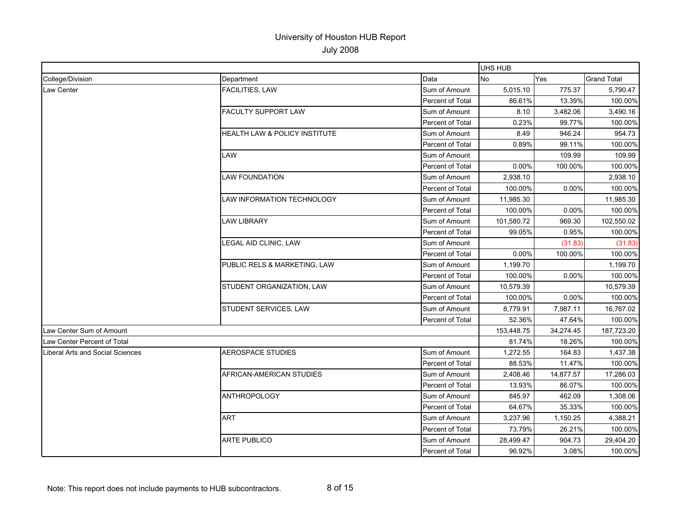|                                  |                               |                         | UHS HUB    |            |                    |
|----------------------------------|-------------------------------|-------------------------|------------|------------|--------------------|
| College/Division                 | Department                    | Data                    | <b>No</b>  | <b>Yes</b> | <b>Grand Total</b> |
| <b>Law Center</b>                | <b>FACILITIES, LAW</b>        | Sum of Amount           | 5,015.10   | 775.37     | 5,790.47           |
|                                  |                               | Percent of Total        | 86.61%     | 13.39%     | 100.00%            |
|                                  | FACULTY SUPPORT LAW           | Sum of Amount           | 8.10       | 3,482.06   | 3,490.16           |
|                                  |                               | Percent of Total        | 0.23%      | 99.77%     | 100.00%            |
|                                  | HEALTH LAW & POLICY INSTITUTE | Sum of Amount           | 8.49       | 946.24     | 954.73             |
|                                  |                               | Percent of Total        | 0.89%      | 99.11%     | 100.00%            |
|                                  | LAW                           | Sum of Amount           |            | 109.99     | 109.99             |
|                                  |                               | <b>Percent of Total</b> | 0.00%      | 100.00%    | 100.00%            |
|                                  | <b>LAW FOUNDATION</b>         | Sum of Amount           | 2,938.10   |            | 2,938.10           |
|                                  |                               | Percent of Total        | 100.00%    | 0.00%      | 100.00%            |
|                                  | LAW INFORMATION TECHNOLOGY    | Sum of Amount           | 11,985.30  |            | 11,985.30          |
|                                  |                               | Percent of Total        | 100.00%    | $0.00\%$   | 100.00%            |
|                                  | <b>LAW LIBRARY</b>            | Sum of Amount           | 101,580.72 | 969.30     | 102,550.02         |
|                                  |                               | Percent of Total        | 99.05%     | 0.95%      | 100.00%            |
|                                  | LEGAL AID CLINIC, LAW         | Sum of Amount           |            | (31.83)    | (31.83)            |
|                                  |                               | Percent of Total        | 0.00%      | 100.00%    | 100.00%            |
|                                  | PUBLIC RELS & MARKETING, LAW  | Sum of Amount           | 1,199.70   |            | 1,199.70           |
|                                  |                               | Percent of Total        | 100.00%    | 0.00%      | 100.00%            |
|                                  | STUDENT ORGANIZATION, LAW     | Sum of Amount           | 10.579.39  |            | 10,579.39          |
|                                  |                               | Percent of Total        | 100.00%    | 0.00%      | 100.00%            |
|                                  | STUDENT SERVICES, LAW         | Sum of Amount           | 8,779.91   | 7,987.11   | 16,767.02          |
|                                  |                               | Percent of Total        | 52.36%     | 47.64%     | 100.00%            |
| Law Center Sum of Amount         |                               |                         | 153,448.75 | 34,274.45  | 187,723.20         |
| Law Center Percent of Total      |                               |                         | 81.74%     | 18.26%     | 100.00%            |
| Liberal Arts and Social Sciences | <b>AEROSPACE STUDIES</b>      | Sum of Amount           | 1,272.55   | 164.83     | 1,437.38           |
|                                  |                               | Percent of Total        | 88.53%     | 11.47%     | 100.00%            |
|                                  | AFRICAN-AMERICAN STUDIES      | Sum of Amount           | 2,408.46   | 14,877.57  | 17,286.03          |
|                                  |                               | Percent of Total        | 13.93%     | 86.07%     | 100.00%            |
|                                  | ANTHROPOLOGY                  | Sum of Amount           | 845.97     | 462.09     | 1,308.06           |
|                                  |                               | <b>Percent of Total</b> | 64.67%     | 35.33%     | 100.00%            |
|                                  | <b>ART</b>                    | Sum of Amount           | 3,237.96   | 1,150.25   | 4,388.21           |
|                                  |                               | Percent of Total        | 73.79%     | 26.21%     | 100.00%            |
|                                  | <b>ARTE PUBLICO</b>           | Sum of Amount           | 28,499.47  | 904.73     | 29,404.20          |
|                                  |                               | Percent of Total        | 96.92%     | 3.08%      | 100.00%            |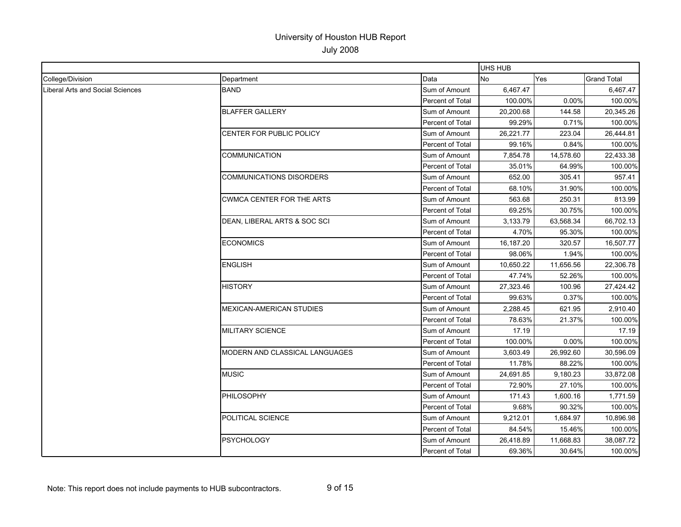|                                  |                                  |                  | UHS HUB   |           |                    |
|----------------------------------|----------------------------------|------------------|-----------|-----------|--------------------|
| College/Division                 | Department                       | Data             | No        | Yes       | <b>Grand Total</b> |
| Liberal Arts and Social Sciences | <b>BAND</b>                      | Sum of Amount    | 6,467.47  |           | 6,467.47           |
|                                  |                                  | Percent of Total | 100.00%   | 0.00%     | 100.00%            |
|                                  | <b>BLAFFER GALLERY</b>           | Sum of Amount    | 20,200.68 | 144.58    | 20,345.26          |
|                                  |                                  | Percent of Total | 99.29%    | 0.71%     | 100.00%            |
|                                  | CENTER FOR PUBLIC POLICY         | Sum of Amount    | 26,221.77 | 223.04    | 26,444.81          |
|                                  |                                  | Percent of Total | 99.16%    | 0.84%     | 100.00%            |
|                                  | <b>COMMUNICATION</b>             | Sum of Amount    | 7,854.78  | 14,578.60 | 22,433.38          |
|                                  |                                  | Percent of Total | 35.01%    | 64.99%    | 100.00%            |
|                                  | <b>COMMUNICATIONS DISORDERS</b>  | Sum of Amount    | 652.00    | 305.41    | 957.41             |
|                                  |                                  | Percent of Total | 68.10%    | 31.90%    | 100.00%            |
|                                  | <b>CWMCA CENTER FOR THE ARTS</b> | Sum of Amount    | 563.68    | 250.31    | 813.99             |
|                                  |                                  | Percent of Total | 69.25%    | 30.75%    | 100.00%            |
|                                  | DEAN, LIBERAL ARTS & SOC SCI     | Sum of Amount    | 3,133.79  | 63,568.34 | 66,702.13          |
|                                  |                                  | Percent of Total | 4.70%     | 95.30%    | 100.00%            |
|                                  | <b>ECONOMICS</b>                 | Sum of Amount    | 16,187.20 | 320.57    | 16,507.77          |
|                                  |                                  | Percent of Total | 98.06%    | 1.94%     | 100.00%            |
|                                  | <b>ENGLISH</b>                   | Sum of Amount    | 10,650.22 | 11,656.56 | 22,306.78          |
|                                  |                                  | Percent of Total | 47.74%    | 52.26%    | 100.00%            |
|                                  | <b>HISTORY</b>                   | Sum of Amount    | 27,323.46 | 100.96    | 27,424.42          |
|                                  |                                  | Percent of Total | 99.63%    | 0.37%     | 100.00%            |
|                                  | <b>MEXICAN-AMERICAN STUDIES</b>  | Sum of Amount    | 2,288.45  | 621.95    | 2,910.40           |
|                                  |                                  | Percent of Total | 78.63%    | 21.37%    | 100.00%            |
|                                  | <b>MILITARY SCIENCE</b>          | Sum of Amount    | 17.19     |           | 17.19              |
|                                  |                                  | Percent of Total | 100.00%   | 0.00%     | 100.00%            |
|                                  | MODERN AND CLASSICAL LANGUAGES   | Sum of Amount    | 3,603.49  | 26,992.60 | 30,596.09          |
|                                  |                                  | Percent of Total | 11.78%    | 88.22%    | 100.00%            |
|                                  | <b>MUSIC</b>                     | Sum of Amount    | 24,691.85 | 9,180.23  | 33,872.08          |
|                                  |                                  | Percent of Total | 72.90%    | 27.10%    | 100.00%            |
|                                  | <b>PHILOSOPHY</b>                | Sum of Amount    | 171.43    | 1,600.16  | 1,771.59           |
|                                  |                                  | Percent of Total | 9.68%     | 90.32%    | 100.00%            |
|                                  | POLITICAL SCIENCE                | Sum of Amount    | 9,212.01  | 1,684.97  | 10,896.98          |
|                                  |                                  | Percent of Total | 84.54%    | 15.46%    | 100.00%            |
|                                  | <b>PSYCHOLOGY</b>                | Sum of Amount    | 26,418.89 | 11,668.83 | 38,087.72          |
|                                  |                                  | Percent of Total | 69.36%    | 30.64%    | 100.00%            |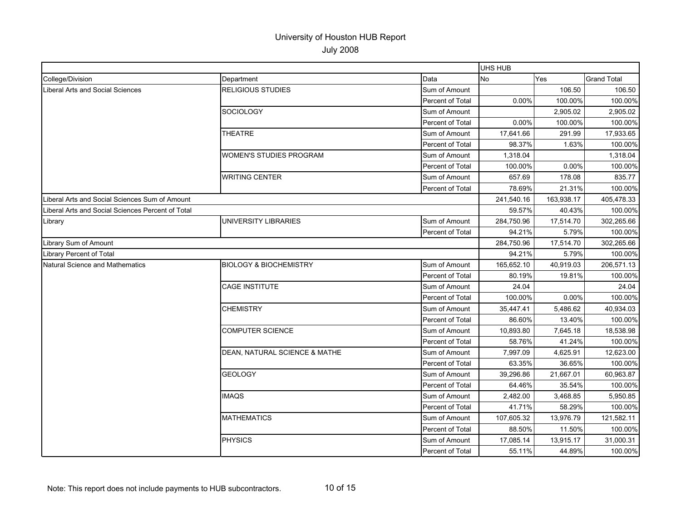|                                                   |                                   |                  | <b>UHS HUB</b> |            |                    |
|---------------------------------------------------|-----------------------------------|------------------|----------------|------------|--------------------|
| College/Division                                  | Department                        | Data             | No             | Yes        | <b>Grand Total</b> |
| Liberal Arts and Social Sciences                  | <b>RELIGIOUS STUDIES</b>          | Sum of Amount    |                | 106.50     | 106.50             |
|                                                   |                                   | Percent of Total | 0.00%          | 100.00%    | 100.00%            |
|                                                   | SOCIOLOGY                         | Sum of Amount    |                | 2,905.02   | 2,905.02           |
|                                                   |                                   | Percent of Total | 0.00%          | 100.00%    | 100.00%            |
|                                                   | <b>THEATRE</b>                    | Sum of Amount    | 17,641.66      | 291.99     | 17,933.65          |
|                                                   |                                   | Percent of Total | 98.37%         | 1.63%      | 100.00%            |
|                                                   | WOMEN'S STUDIES PROGRAM           | Sum of Amount    | 1,318.04       |            | 1,318.04           |
|                                                   |                                   | Percent of Total | 100.00%        | 0.00%      | 100.00%            |
|                                                   | <b>WRITING CENTER</b>             | Sum of Amount    | 657.69         | 178.08     | 835.77             |
|                                                   |                                   | Percent of Total | 78.69%         | 21.31%     | 100.00%            |
| Liberal Arts and Social Sciences Sum of Amount    |                                   |                  | 241,540.16     | 163,938.17 | 405,478.33         |
| Liberal Arts and Social Sciences Percent of Total |                                   |                  | 59.57%         | 40.43%     | 100.00%            |
| Library                                           | UNIVERSITY LIBRARIES              | Sum of Amount    | 284,750.96     | 17,514.70  | 302,265.66         |
|                                                   |                                   | Percent of Total | 94.21%         | 5.79%      | 100.00%            |
| Library Sum of Amount                             |                                   |                  | 284,750.96     | 17,514.70  | 302,265.66         |
| <b>Library Percent of Total</b>                   |                                   |                  | 94.21%         | 5.79%      | 100.00%            |
| Natural Science and Mathematics                   | <b>BIOLOGY &amp; BIOCHEMISTRY</b> | Sum of Amount    | 165,652.10     | 40,919.03  | 206,571.13         |
|                                                   |                                   | Percent of Total | 80.19%         | 19.81%     | 100.00%            |
|                                                   | <b>CAGE INSTITUTE</b>             | Sum of Amount    | 24.04          |            | 24.04              |
|                                                   |                                   | Percent of Total | 100.00%        | 0.00%      | 100.00%            |
|                                                   | <b>CHEMISTRY</b>                  | Sum of Amount    | 35,447.41      | 5,486.62   | 40,934.03          |
|                                                   |                                   | Percent of Total | 86.60%         | 13.40%     | 100.00%            |
|                                                   | <b>COMPUTER SCIENCE</b>           | Sum of Amount    | 10,893.80      | 7,645.18   | 18,538.98          |
|                                                   |                                   | Percent of Total | 58.76%         | 41.24%     | 100.00%            |
|                                                   | DEAN, NATURAL SCIENCE & MATHE     | Sum of Amount    | 7,997.09       | 4,625.91   | 12,623.00          |
|                                                   |                                   | Percent of Total | 63.35%         | 36.65%     | 100.00%            |
|                                                   | <b>GEOLOGY</b>                    | Sum of Amount    | 39,296.86      | 21,667.01  | 60,963.87          |
|                                                   |                                   | Percent of Total | 64.46%         | 35.54%     | 100.00%            |
|                                                   | <b>IMAQS</b>                      | Sum of Amount    | 2,482.00       | 3,468.85   | 5,950.85           |
|                                                   |                                   | Percent of Total | 41.71%         | 58.29%     | 100.00%            |
|                                                   | <b>MATHEMATICS</b>                | Sum of Amount    | 107,605.32     | 13,976.79  | 121,582.11         |
|                                                   |                                   | Percent of Total | 88.50%         | 11.50%     | 100.00%            |
|                                                   | <b>PHYSICS</b>                    | Sum of Amount    | 17,085.14      | 13,915.17  | 31,000.31          |
|                                                   |                                   | Percent of Total | 55.11%         | 44.89%     | 100.00%            |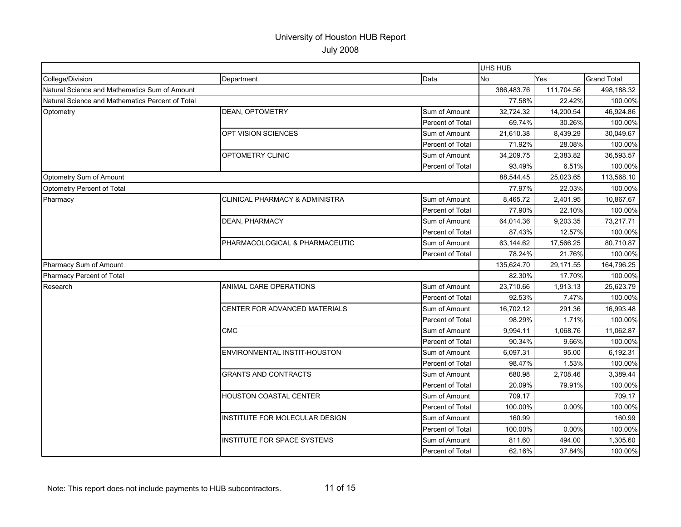|                                                  |                                           |                  | <b>UHS HUB</b> |            |                    |
|--------------------------------------------------|-------------------------------------------|------------------|----------------|------------|--------------------|
| College/Division                                 | Department                                | Data             | No             | Yes        | <b>Grand Total</b> |
| Natural Science and Mathematics Sum of Amount    |                                           |                  | 386,483.76     | 111,704.56 | 498,188.32         |
| Natural Science and Mathematics Percent of Total |                                           |                  | 77.58%         | 22.42%     | 100.00%            |
| Optometry                                        | <b>DEAN, OPTOMETRY</b>                    | Sum of Amount    | 32,724.32      | 14,200.54  | 46,924.86          |
|                                                  |                                           | Percent of Total | 69.74%         | 30.26%     | 100.00%            |
|                                                  | <b>OPT VISION SCIENCES</b>                | Sum of Amount    | 21,610.38      | 8.439.29   | 30,049.67          |
|                                                  |                                           | Percent of Total | 71.92%         | 28.08%     | 100.00%            |
|                                                  | <b>OPTOMETRY CLINIC</b>                   | Sum of Amount    | 34,209.75      | 2,383.82   | 36,593.57          |
|                                                  |                                           | Percent of Total | 93.49%         | 6.51%      | 100.00%            |
| Optometry Sum of Amount                          |                                           |                  | 88,544.45      | 25,023.65  | 113,568.10         |
| Optometry Percent of Total                       |                                           |                  | 77.97%         | 22.03%     | 100.00%            |
| Pharmacy                                         | <b>CLINICAL PHARMACY &amp; ADMINISTRA</b> | Sum of Amount    | 8,465.72       | 2,401.95   | 10,867.67          |
|                                                  |                                           | Percent of Total | 77.90%         | 22.10%     | 100.00%            |
|                                                  | <b>DEAN, PHARMACY</b>                     | Sum of Amount    | 64,014.36      | 9,203.35   | 73,217.71          |
|                                                  |                                           | Percent of Total | 87.43%         | 12.57%     | 100.00%            |
|                                                  | PHARMACOLOGICAL & PHARMACEUTIC            | Sum of Amount    | 63,144.62      | 17,566.25  | 80,710.87          |
|                                                  |                                           | Percent of Total | 78.24%         | 21.76%     | 100.00%            |
| Pharmacy Sum of Amount                           |                                           |                  | 135,624.70     | 29,171.55  | 164,796.25         |
| Pharmacy Percent of Total                        |                                           |                  | 82.30%         | 17.70%     | 100.00%            |
| Research                                         | ANIMAL CARE OPERATIONS                    | Sum of Amount    | 23,710.66      | 1,913.13   | 25,623.79          |
|                                                  |                                           | Percent of Total | 92.53%         | 7.47%      | 100.00%            |
|                                                  | CENTER FOR ADVANCED MATERIALS             | Sum of Amount    | 16,702.12      | 291.36     | 16,993.48          |
|                                                  |                                           | Percent of Total | 98.29%         | 1.71%      | 100.00%            |
|                                                  | <b>CMC</b>                                | Sum of Amount    | 9,994.11       | 1,068.76   | 11,062.87          |
|                                                  |                                           | Percent of Total | 90.34%         | 9.66%      | 100.00%            |
|                                                  | ENVIRONMENTAL INSTIT-HOUSTON              | Sum of Amount    | 6,097.31       | 95.00      | 6,192.31           |
|                                                  |                                           | Percent of Total | 98.47%         | 1.53%      | 100.00%            |
|                                                  | <b>GRANTS AND CONTRACTS</b>               | Sum of Amount    | 680.98         | 2,708.46   | 3,389.44           |
|                                                  |                                           | Percent of Total | 20.09%         | 79.91%     | 100.00%            |
|                                                  | HOUSTON COASTAL CENTER                    | Sum of Amount    | 709.17         |            | 709.17             |
|                                                  |                                           | Percent of Total | 100.00%        | 0.00%      | 100.00%            |
|                                                  | INSTITUTE FOR MOLECULAR DESIGN            | Sum of Amount    | 160.99         |            | 160.99             |
|                                                  |                                           | Percent of Total | 100.00%        | 0.00%      | 100.00%            |
|                                                  | INSTITUTE FOR SPACE SYSTEMS               | Sum of Amount    | 811.60         | 494.00     | 1,305.60           |
|                                                  |                                           | Percent of Total | 62.16%         | 37.84%     | 100.00%            |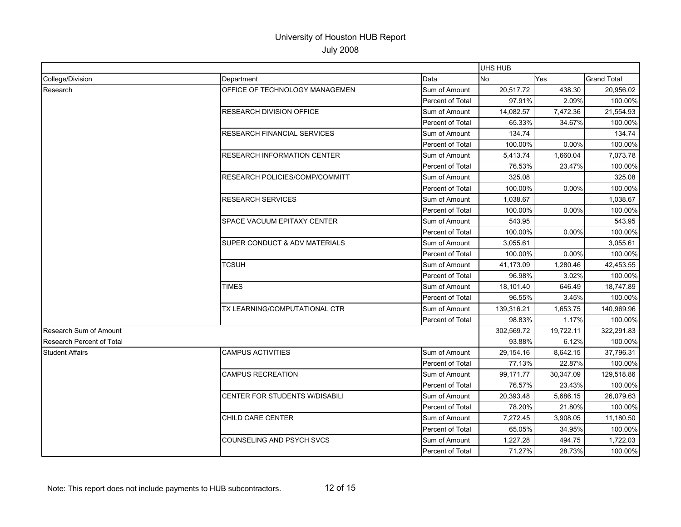|                                  |                                       |                         | UHS HUB    |           |                    |
|----------------------------------|---------------------------------------|-------------------------|------------|-----------|--------------------|
| College/Division                 | Department                            | Data                    | No         | Yes       | <b>Grand Total</b> |
| Research                         | OFFICE OF TECHNOLOGY MANAGEMEN        | Sum of Amount           | 20,517.72  | 438.30    | 20,956.02          |
|                                  |                                       | Percent of Total        | 97.91%     | 2.09%     | 100.00%            |
|                                  | <b>RESEARCH DIVISION OFFICE</b>       | Sum of Amount           | 14,082.57  | 7,472.36  | 21,554.93          |
|                                  |                                       | <b>Percent of Total</b> | 65.33%     | 34.67%    | 100.00%            |
|                                  | <b>RESEARCH FINANCIAL SERVICES</b>    | Sum of Amount           | 134.74     |           | 134.74             |
|                                  |                                       | <b>Percent of Total</b> | 100.00%    | $0.00\%$  | 100.00%            |
|                                  | <b>RESEARCH INFORMATION CENTER</b>    | Sum of Amount           | 5,413.74   | 1,660.04  | 7,073.78           |
|                                  |                                       | Percent of Total        | 76.53%     | 23.47%    | 100.00%            |
|                                  | RESEARCH POLICIES/COMP/COMMITT        | Sum of Amount           | 325.08     |           | 325.08             |
|                                  |                                       | Percent of Total        | 100.00%    | 0.00%     | 100.00%            |
|                                  | <b>RESEARCH SERVICES</b>              | Sum of Amount           | 1,038.67   |           | 1,038.67           |
|                                  |                                       | <b>Percent of Total</b> | 100.00%    | 0.00%     | 100.00%            |
|                                  | SPACE VACUUM EPITAXY CENTER           | Sum of Amount           | 543.95     |           | 543.95             |
|                                  |                                       | Percent of Total        | 100.00%    | 0.00%     | 100.00%            |
|                                  | SUPER CONDUCT & ADV MATERIALS         | Sum of Amount           | 3,055.61   |           | 3,055.61           |
|                                  |                                       | Percent of Total        | 100.00%    | 0.00%     | 100.00%            |
|                                  | TCSUH                                 | Sum of Amount           | 41,173.09  | 1,280.46  | 42,453.55          |
|                                  |                                       | Percent of Total        | 96.98%     | 3.02%     | 100.00%            |
|                                  | <b>TIMES</b>                          | Sum of Amount           | 18,101.40  | 646.49    | 18,747.89          |
|                                  |                                       | <b>Percent of Total</b> | 96.55%     | 3.45%     | 100.00%            |
|                                  | TX LEARNING/COMPUTATIONAL CTR         | Sum of Amount           | 139,316.21 | 1,653.75  | 140,969.96         |
|                                  |                                       | Percent of Total        | 98.83%     | 1.17%     | 100.00%            |
| Research Sum of Amount           |                                       |                         | 302,569.72 | 19,722.11 | 322,291.83         |
| <b>Research Percent of Total</b> |                                       |                         | 93.88%     | 6.12%     | 100.00%            |
| <b>Student Affairs</b>           | <b>CAMPUS ACTIVITIES</b>              | Sum of Amount           | 29,154.16  | 8,642.15  | 37,796.31          |
|                                  |                                       | Percent of Total        | 77.13%     | 22.87%    | 100.00%            |
|                                  | <b>CAMPUS RECREATION</b>              | Sum of Amount           | 99,171.77  | 30,347.09 | 129,518.86         |
|                                  |                                       | Percent of Total        | 76.57%     | 23.43%    | 100.00%            |
|                                  | <b>CENTER FOR STUDENTS W/DISABILI</b> | Sum of Amount           | 20,393.48  | 5,686.15  | 26,079.63          |
|                                  |                                       | Percent of Total        | 78.20%     | 21.80%    | 100.00%            |
|                                  | CHILD CARE CENTER                     | Sum of Amount           | 7,272.45   | 3,908.05  | 11,180.50          |
|                                  |                                       | Percent of Total        | 65.05%     | 34.95%    | 100.00%            |
|                                  | <b>COUNSELING AND PSYCH SVCS</b>      | Sum of Amount           | 1,227.28   | 494.75    | 1,722.03           |
|                                  |                                       | Percent of Total        | 71.27%     | 28.73%    | 100.00%            |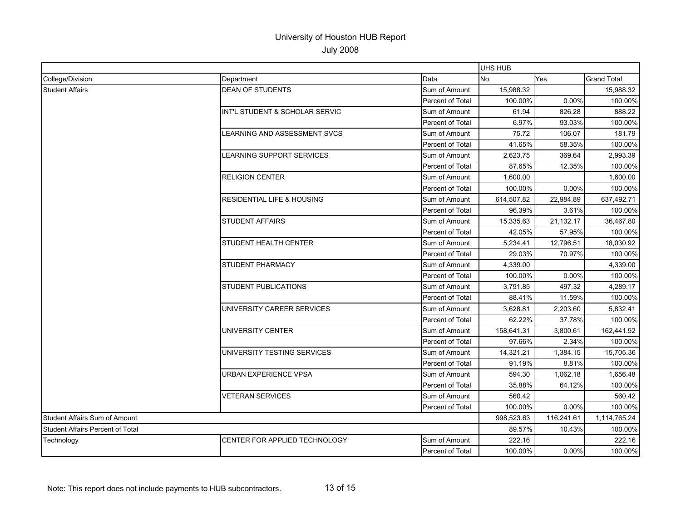|                                         |                                       | UHS HUB          |            |            |                    |
|-----------------------------------------|---------------------------------------|------------------|------------|------------|--------------------|
| College/Division                        | Department                            | Data             | <b>No</b>  | <b>Yes</b> | <b>Grand Total</b> |
| <b>Student Affairs</b>                  | <b>DEAN OF STUDENTS</b>               | Sum of Amount    | 15,988.32  |            | 15,988.32          |
|                                         |                                       | Percent of Total | 100.00%    | 0.00%      | 100.00%            |
|                                         | INT'L STUDENT & SCHOLAR SERVIC        | Sum of Amount    | 61.94      | 826.28     | 888.22             |
|                                         |                                       | Percent of Total | 6.97%      | 93.03%     | 100.00%            |
|                                         | LEARNING AND ASSESSMENT SVCS          | Sum of Amount    | 75.72      | 106.07     | 181.79             |
|                                         |                                       | Percent of Total | 41.65%     | 58.35%     | 100.00%            |
|                                         | LEARNING SUPPORT SERVICES             | Sum of Amount    | 2,623.75   | 369.64     | 2,993.39           |
|                                         |                                       | Percent of Total | 87.65%     | 12.35%     | 100.00%            |
|                                         | <b>RELIGION CENTER</b>                | Sum of Amount    | 1,600.00   |            | 1,600.00           |
|                                         |                                       | Percent of Total | 100.00%    | 0.00%      | 100.00%            |
|                                         | <b>RESIDENTIAL LIFE &amp; HOUSING</b> | Sum of Amount    | 614,507.82 | 22,984.89  | 637,492.71         |
|                                         |                                       | Percent of Total | 96.39%     | 3.61%      | 100.00%            |
|                                         | <b>STUDENT AFFAIRS</b>                | Sum of Amount    | 15,335.63  | 21,132.17  | 36,467.80          |
|                                         |                                       | Percent of Total | 42.05%     | 57.95%     | 100.00%            |
|                                         | STUDENT HEALTH CENTER                 | Sum of Amount    | 5,234.41   | 12,796.51  | 18,030.92          |
|                                         |                                       | Percent of Total | 29.03%     | 70.97%     | 100.00%            |
|                                         | STUDENT PHARMACY                      | Sum of Amount    | 4,339.00   |            | 4,339.00           |
|                                         |                                       | Percent of Total | 100.00%    | 0.00%      | 100.00%            |
|                                         | <b>STUDENT PUBLICATIONS</b>           | Sum of Amount    | 3.791.85   | 497.32     | 4.289.17           |
|                                         |                                       | Percent of Total | 88.41%     | 11.59%     | 100.00%            |
|                                         | UNIVERSITY CAREER SERVICES            | Sum of Amount    | 3,628.81   | 2,203.60   | 5,832.41           |
|                                         |                                       | Percent of Total | 62.22%     | 37.78%     | 100.00%            |
|                                         | UNIVERSITY CENTER                     | Sum of Amount    | 158,641.31 | 3,800.61   | 162,441.92         |
|                                         |                                       | Percent of Total | 97.66%     | 2.34%      | 100.00%            |
|                                         | UNIVERSITY TESTING SERVICES           | Sum of Amount    | 14,321.21  | 1,384.15   | 15,705.36          |
|                                         |                                       | Percent of Total | 91.19%     | 8.81%      | 100.00%            |
|                                         | URBAN EXPERIENCE VPSA                 | Sum of Amount    | 594.30     | 1,062.18   | 1,656.48           |
|                                         |                                       | Percent of Total | 35.88%     | 64.12%     | 100.00%            |
|                                         | <b>VETERAN SERVICES</b>               | Sum of Amount    | 560.42     |            | 560.42             |
|                                         |                                       | Percent of Total | 100.00%    | 0.00%      | 100.00%            |
| <b>Student Affairs Sum of Amount</b>    |                                       |                  | 998,523.63 | 116,241.61 | 1,114,765.24       |
| <b>Student Affairs Percent of Total</b> |                                       |                  | 89.57%     | 10.43%     | 100.00%            |
| Technology                              | CENTER FOR APPLIED TECHNOLOGY         | Sum of Amount    | 222.16     |            | 222.16             |
|                                         |                                       | Percent of Total | 100.00%    | $0.00\%$   | 100.00%            |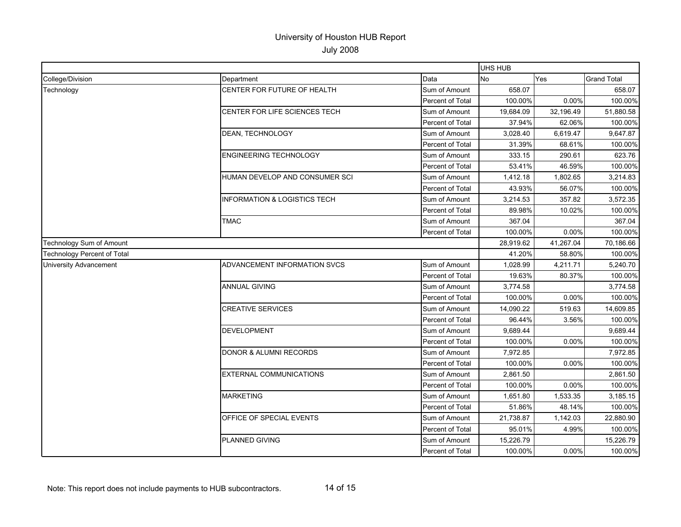|                                    |                                         |                         | <b>UHS HUB</b> |           |                    |
|------------------------------------|-----------------------------------------|-------------------------|----------------|-----------|--------------------|
| College/Division                   | Department                              | Data                    | No             | Yes       | <b>Grand Total</b> |
| Technology                         | CENTER FOR FUTURE OF HEALTH             | Sum of Amount           | 658.07         |           | 658.07             |
|                                    |                                         | Percent of Total        | 100.00%        | 0.00%     | 100.00%            |
|                                    | CENTER FOR LIFE SCIENCES TECH           | Sum of Amount           | 19,684.09      | 32,196.49 | 51,880.58          |
|                                    |                                         | Percent of Total        | 37.94%         | 62.06%    | 100.00%            |
|                                    | DEAN, TECHNOLOGY                        | Sum of Amount           | 3,028.40       | 6,619.47  | 9,647.87           |
|                                    |                                         | Percent of Total        | 31.39%         | 68.61%    | 100.00%            |
|                                    | ENGINEERING TECHNOLOGY                  | Sum of Amount           | 333.15         | 290.61    | 623.76             |
|                                    |                                         | Percent of Total        | 53.41%         | 46.59%    | 100.00%            |
|                                    | HUMAN DEVELOP AND CONSUMER SCI          | Sum of Amount           | 1,412.18       | 1,802.65  | 3,214.83           |
|                                    |                                         | Percent of Total        | 43.93%         | 56.07%    | 100.00%            |
|                                    | <b>INFORMATION &amp; LOGISTICS TECH</b> | Sum of Amount           | 3,214.53       | 357.82    | 3,572.35           |
|                                    |                                         | <b>Percent of Total</b> | 89.98%         | 10.02%    | 100.00%            |
|                                    | <b>TMAC</b>                             | Sum of Amount           | 367.04         |           | 367.04             |
|                                    |                                         | Percent of Total        | 100.00%        | 0.00%     | 100.00%            |
| Technology Sum of Amount           |                                         |                         | 28,919.62      | 41,267.04 | 70,186.66          |
| <b>Technology Percent of Total</b> |                                         |                         | 41.20%         | 58.80%    | 100.00%            |
| <b>University Advancement</b>      | ADVANCEMENT INFORMATION SVCS            | Sum of Amount           | 1,028.99       | 4,211.71  | 5,240.70           |
|                                    |                                         | Percent of Total        | 19.63%         | 80.37%    | 100.00%            |
|                                    | <b>ANNUAL GIVING</b>                    | Sum of Amount           | 3,774.58       |           | 3,774.58           |
|                                    |                                         | Percent of Total        | 100.00%        | 0.00%     | 100.00%            |
|                                    | <b>CREATIVE SERVICES</b>                | Sum of Amount           | 14,090.22      | 519.63    | 14,609.85          |
|                                    |                                         | Percent of Total        | 96.44%         | 3.56%     | 100.00%            |
|                                    | <b>DEVELOPMENT</b>                      | Sum of Amount           | 9,689.44       |           | 9,689.44           |
|                                    |                                         | Percent of Total        | 100.00%        | 0.00%     | 100.00%            |
|                                    | <b>DONOR &amp; ALUMNI RECORDS</b>       | Sum of Amount           | 7,972.85       |           | 7,972.85           |
|                                    |                                         | Percent of Total        | 100.00%        | 0.00%     | 100.00%            |
|                                    | <b>EXTERNAL COMMUNICATIONS</b>          | Sum of Amount           | 2,861.50       |           | 2,861.50           |
|                                    |                                         | Percent of Total        | 100.00%        | 0.00%     | 100.00%            |
|                                    | <b>MARKETING</b>                        | Sum of Amount           | 1,651.80       | 1,533.35  | 3,185.15           |
|                                    |                                         | Percent of Total        | 51.86%         | 48.14%    | 100.00%            |
|                                    | OFFICE OF SPECIAL EVENTS                | Sum of Amount           | 21,738.87      | 1,142.03  | 22,880.90          |
|                                    |                                         | Percent of Total        | 95.01%         | 4.99%     | 100.00%            |
|                                    | PLANNED GIVING                          | Sum of Amount           | 15,226.79      |           | 15,226.79          |
|                                    |                                         | Percent of Total        | 100.00%        | 0.00%     | 100.00%            |